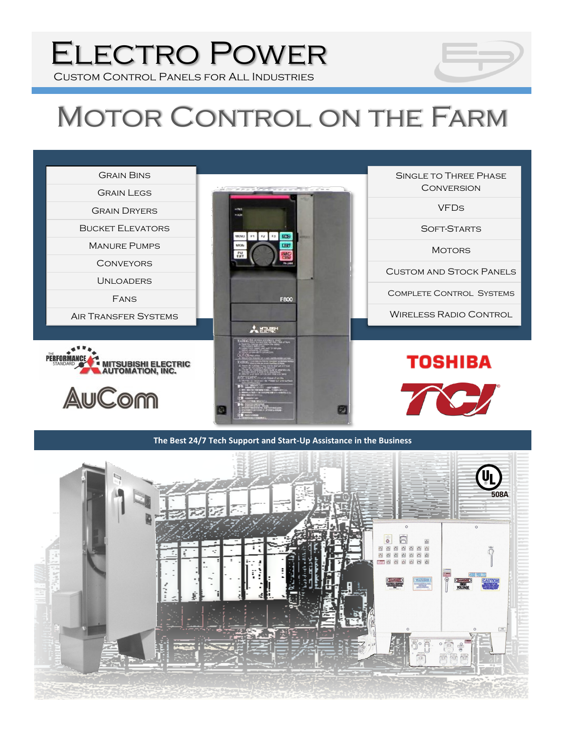# Electro Power

Custom Control Panels for All Industries

## MOTOR CONTROL ON THE FARM



#### **The Best 24/7 Tech Support and Start-Up Assistance in the Business**